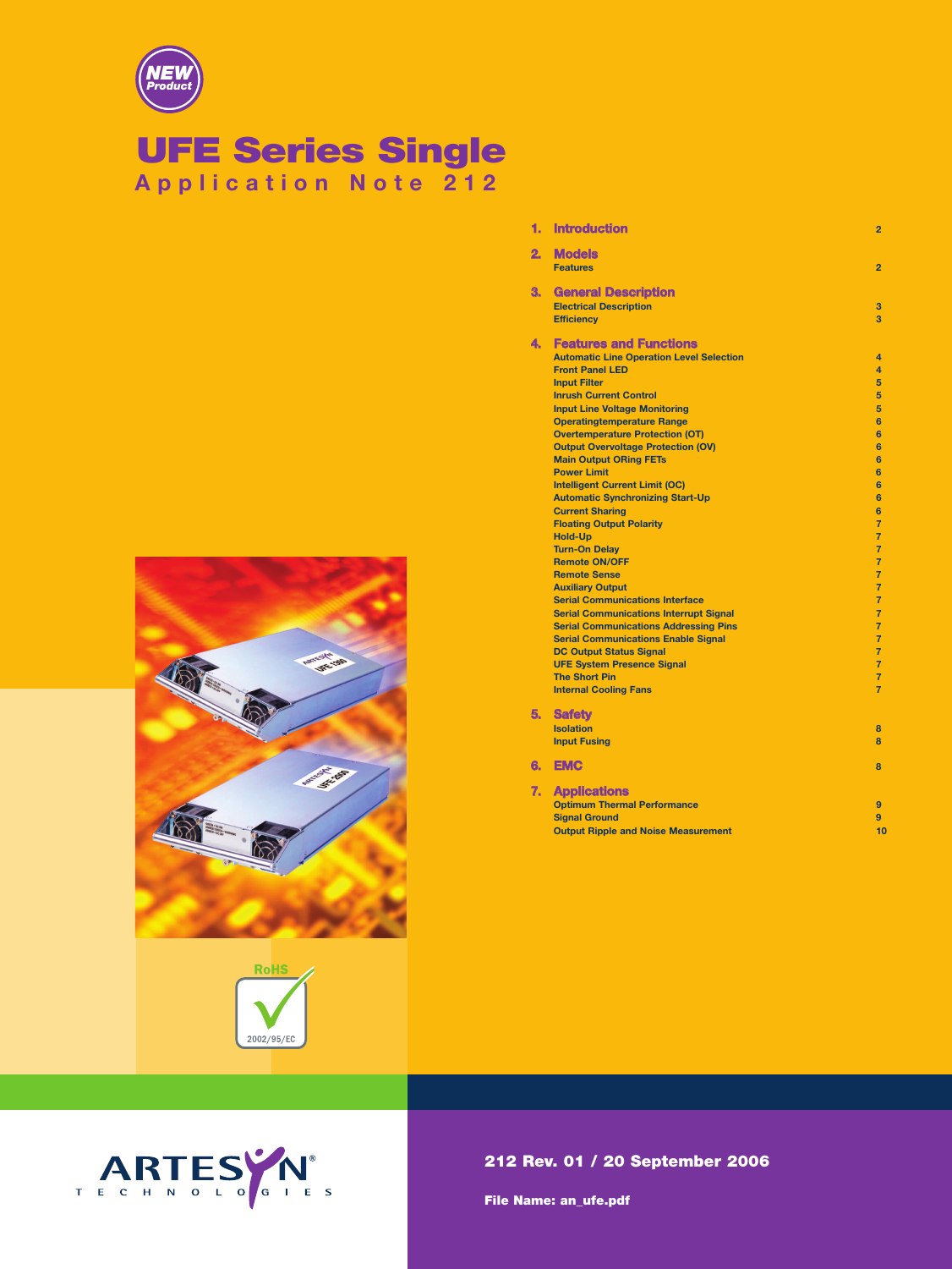

# **UFE Series Single**

**Application Note 212**

|    | --------                                        |                |
|----|-------------------------------------------------|----------------|
|    | <b>Features</b>                                 | $\overline{2}$ |
| 3. | <b>General Description</b>                      |                |
|    | <b>Electrical Description</b>                   | 3              |
|    | <b>Efficiency</b>                               | 3              |
| 4. | <b>Features and Functions</b>                   |                |
|    | <b>Automatic Line Operation Level Selection</b> | 4              |
|    | <b>Front Panel LED</b>                          | 4              |
|    | <b>Input Filter</b>                             | 5              |
|    | <b>Inrush Current Control</b>                   | 5              |
|    | <b>Input Line Voltage Monitoring</b>            | 5              |
|    | <b>Operatingtemperature Range</b>               | 6              |
|    | <b>Overtemperature Protection (OT)</b>          | $6\phantom{a}$ |
|    | <b>Output Overvoltage Protection (OV)</b>       | 6              |
|    | <b>Main Output ORing FETs</b>                   | $6\phantom{a}$ |
|    | <b>Power Limit</b>                              | 6              |
|    | <b>Intelligent Current Limit (OC)</b>           | 6              |
|    | <b>Automatic Synchronizing Start-Up</b>         | 6              |
|    | <b>Current Sharing</b>                          | $6\phantom{a}$ |
|    | <b>Floating Output Polarity</b>                 | $\overline{7}$ |
|    | <b>Hold-Up</b>                                  | $\overline{7}$ |
|    | <b>Turn-On Delay</b>                            | $\overline{7}$ |
|    | <b>Remote ON/OFF</b>                            | $\overline{7}$ |
|    | <b>Remote Sense</b>                             | $\overline{7}$ |
|    | <b>Auxiliary Output</b>                         | $\overline{7}$ |
|    | <b>Serial Communications Interface</b>          | $\overline{7}$ |
|    | <b>Serial Communications Interrupt Signal</b>   | $\overline{7}$ |
|    | <b>Serial Communications Addressing Pins</b>    | $\overline{7}$ |
|    | <b>Serial Communications Enable Signal</b>      | $\overline{7}$ |
|    | <b>DC Output Status Signal</b>                  | $\overline{7}$ |
|    | <b>UFE System Presence Signal</b>               | $\overline{7}$ |
|    | <b>The Short Pin</b>                            | $\overline{7}$ |
|    | <b>Internal Cooling Fans</b>                    | $\overline{7}$ |
| 5. | <b>Safety</b>                                   |                |
|    | <b>Isolation</b>                                | 8              |
|    | <b>Input Fusing</b>                             | 8              |
| 6. | <b>EMC</b>                                      | 8              |
| 7. | <b>Applications</b>                             |                |
|    | <b>Optimum Thermal Performance</b>              | 9              |
|    | <b>Signal Ground</b>                            | $\overline{9}$ |
|    | <b>Output Ripple and Noise Measurement</b>      | 10             |
|    |                                                 |                |

**1. Introduction 2**

**2. Models**







**File Name: an\_ufe.pdf**

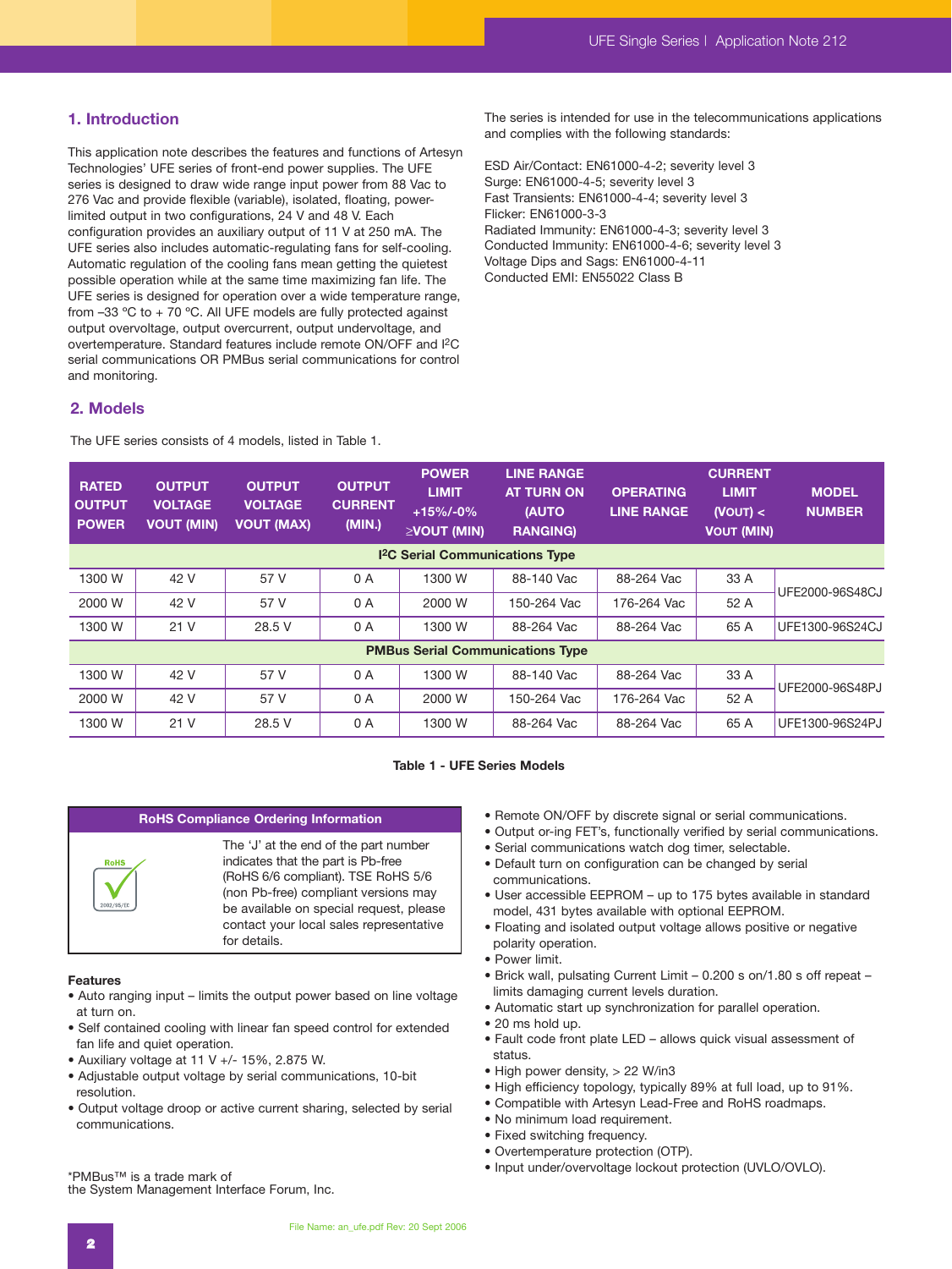## **1. Introduction**

This application note describes the features and functions of Artesyn Technologies' UFE series of front-end power supplies. The UFE series is designed to draw wide range input power from 88 Vac to 276 Vac and provide flexible (variable), isolated, floating, powerlimited output in two configurations, 24 V and 48 V. Each configuration provides an auxiliary output of 11 V at 250 mA. The UFE series also includes automatic-regulating fans for self-cooling. Automatic regulation of the cooling fans mean getting the quietest possible operation while at the same time maximizing fan life. The UFE series is designed for operation over a wide temperature range, from –33 ºC to + 70 ºC. All UFE models are fully protected against output overvoltage, output overcurrent, output undervoltage, and overtemperature. Standard features include remote ON/OFF and I2C serial communications OR PMBus serial communications for control and monitoring.

The series is intended for use in the telecommunications applications and complies with the following standards:

ESD Air/Contact: EN61000-4-2; severity level 3 Surge: EN61000-4-5; severity level 3 Fast Transients: EN61000-4-4; severity level 3 Flicker: EN61000-3-3 Radiated Immunity: EN61000-4-3; severity level 3 Conducted Immunity: EN61000-4-6; severity level 3 Voltage Dips and Sags: EN61000-4-11 Conducted EMI: EN55022 Class B

# **2. Models**

The UFE series consists of 4 models, listed in Table 1.

| <b>RATED</b><br><b>OUTPUT</b><br><b>POWER</b> | <b>OUTPUT</b><br><b>VOLTAGE</b><br><b>VOUT (MIN)</b> | <b>OUTPUT</b><br><b>VOLTAGE</b><br><b>VOUT (MAX)</b> | <b>OUTPUT</b><br><b>CURRENT</b><br>(MIN.) | <b>POWER</b><br><b>LIMIT</b><br>$+15\%/0\%$<br>$\geq$ VOUT (MIN) | <b>LINE RANGE</b><br><b>AT TURN ON</b><br><b>(AUTO</b><br><b>RANGING)</b> | <b>OPERATING</b><br><b>LINE RANGE</b> | <b>CURRENT</b><br><b>LIMIT</b><br>(VOUT) <<br><b>VOUT (MIN)</b> | <b>MODEL</b><br><b>NUMBER</b> |  |
|-----------------------------------------------|------------------------------------------------------|------------------------------------------------------|-------------------------------------------|------------------------------------------------------------------|---------------------------------------------------------------------------|---------------------------------------|-----------------------------------------------------------------|-------------------------------|--|
| <sup>12</sup> C Serial Communications Type    |                                                      |                                                      |                                           |                                                                  |                                                                           |                                       |                                                                 |                               |  |
| 1300 W                                        | 42 V                                                 | 57 V                                                 | 0 A                                       | 1300 W                                                           | 88-140 Vac                                                                | 88-264 Vac                            | 33 A                                                            | UFE2000-96S48CJ               |  |
| 2000 W                                        | 42 V                                                 | 57 V                                                 | 0 A                                       | 2000 W                                                           | 150-264 Vac                                                               | 176-264 Vac                           | 52 A                                                            |                               |  |
| 1300 W                                        | 21 V                                                 | 28.5 V                                               | 0 A                                       | 1300 W                                                           | 88-264 Vac                                                                | 88-264 Vac                            | 65 A                                                            | UFE1300-96S24CJ               |  |
| <b>PMBus Serial Communications Type</b>       |                                                      |                                                      |                                           |                                                                  |                                                                           |                                       |                                                                 |                               |  |
| 1300 W                                        | 42 V                                                 | 57 V                                                 | 0 A                                       | 1300 W                                                           | 88-140 Vac                                                                | 88-264 Vac                            | 33 A                                                            | UFE2000-96S48PJ               |  |
| 2000 W                                        | 42 V                                                 | 57 V                                                 | 0 A                                       | 2000 W                                                           | 150-264 Vac                                                               | 176-264 Vac                           | 52 A                                                            |                               |  |
| 1300 W                                        | 21 V                                                 | 28.5 V                                               | 0 A                                       | 1300 W                                                           | 88-264 Vac                                                                | 88-264 Vac                            | 65 A                                                            | UFE1300-96S24PJ               |  |

#### **Table 1 - UFE Series Models**

#### **RoHS Compliance Ordering Information**



#### **Features**

- Auto ranging input limits the output power based on line voltage at turn on.
- Self contained cooling with linear fan speed control for extended fan life and quiet operation.
- Auxiliary voltage at 11 V +/- 15%, 2.875 W.
- Adjustable output voltage by serial communications, 10-bit resolution.
- Output voltage droop or active current sharing, selected by serial communications.

• Remote ON/OFF by discrete signal or serial communications.

- Output or-ing FET's, functionally verified by serial communications.
- Serial communications watch dog timer, selectable.
- Default turn on configuration can be changed by serial communications.
- User accessible EEPROM up to 175 bytes available in standard model, 431 bytes available with optional EEPROM.
- Floating and isolated output voltage allows positive or negative polarity operation.
- Power limit.
- Brick wall, pulsating Current Limit 0.200 s on/1.80 s off repeat limits damaging current levels duration.
- Automatic start up synchronization for parallel operation.
- 20 ms hold up.
- Fault code front plate LED allows quick visual assessment of status.
- High power density, > 22 W/in3
- High efficiency topology, typically 89% at full load, up to 91%.
- Compatible with Artesyn Lead-Free and RoHS roadmaps.
- No minimum load requirement.
- Fixed switching frequency.
- Overtemperature protection (OTP).
- Input under/overvoltage lockout protection (UVLO/OVLO).

\*PMBus™ is a trade mark of the System Management Interface Forum, Inc.

File Name: an\_ufe.pdf Rev: 20 Sept 2006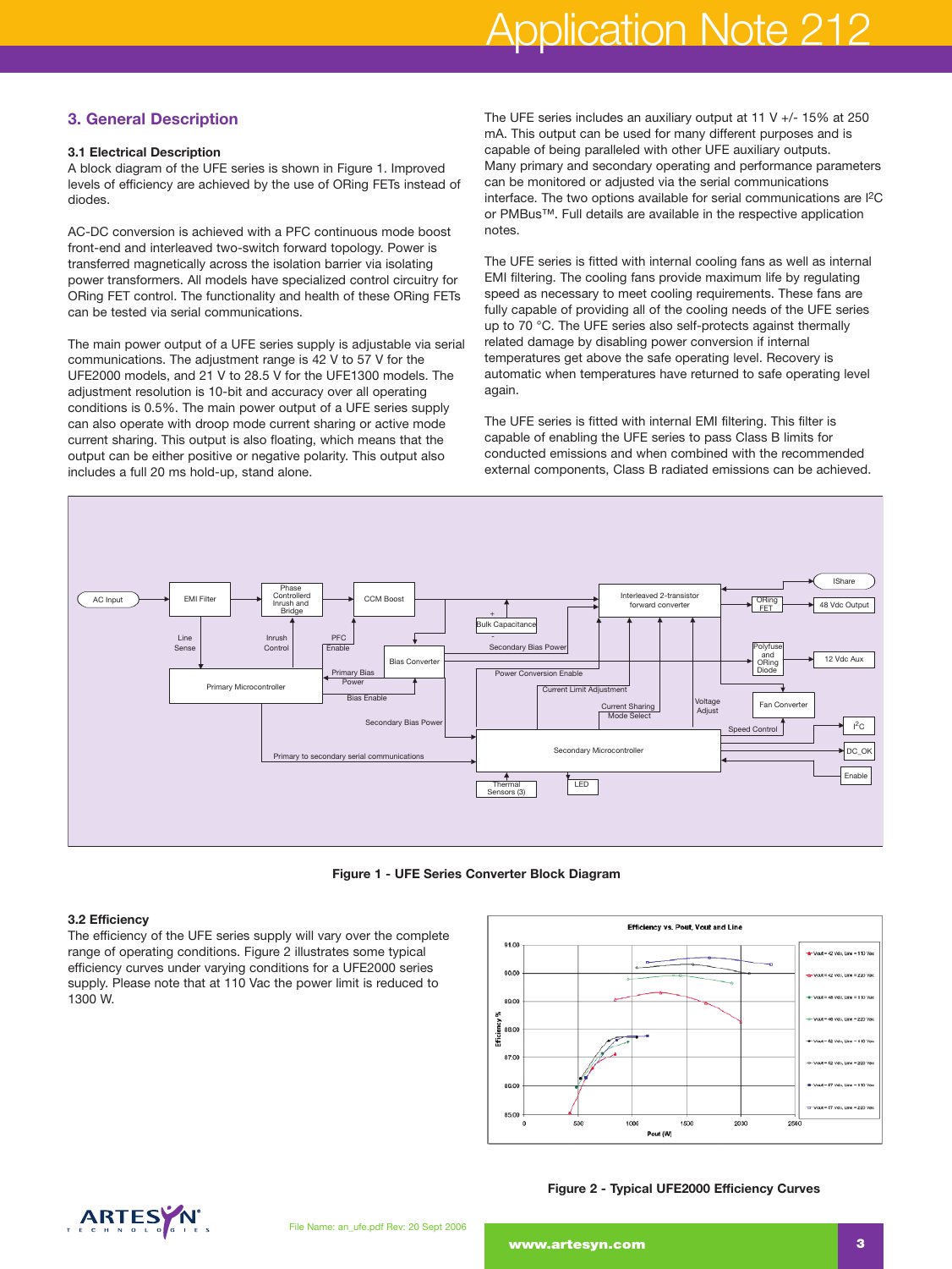# Application Note 212

# **3. General Description**

#### **3.1 Electrical Description**

A block diagram of the UFE series is shown in Figure 1. Improved levels of efficiency are achieved by the use of ORing FETs instead of diodes.

AC-DC conversion is achieved with a PFC continuous mode boost front-end and interleaved two-switch forward topology. Power is transferred magnetically across the isolation barrier via isolating power transformers. All models have specialized control circuitry for ORing FET control. The functionality and health of these ORing FETs can be tested via serial communications.

The main power output of a UFE series supply is adjustable via serial communications. The adjustment range is 42 V to 57 V for the UFE2000 models, and 21 V to 28.5 V for the UFE1300 models. The adjustment resolution is 10-bit and accuracy over all operating conditions is 0.5%. The main power output of a UFE series supply can also operate with droop mode current sharing or active mode current sharing. This output is also floating, which means that the output can be either positive or negative polarity. This output also includes a full 20 ms hold-up, stand alone.

The UFE series includes an auxiliary output at 11 V +/- 15% at 250 mA. This output can be used for many different purposes and is capable of being paralleled with other UFE auxiliary outputs. Many primary and secondary operating and performance parameters can be monitored or adjusted via the serial communications interface. The two options available for serial communications are I2C or PMBus™. Full details are available in the respective application notes.

The UFE series is fitted with internal cooling fans as well as internal EMI filtering. The cooling fans provide maximum life by regulating speed as necessary to meet cooling requirements. These fans are fully capable of providing all of the cooling needs of the UFE series up to 70 °C. The UFE series also self-protects against thermally related damage by disabling power conversion if internal temperatures get above the safe operating level. Recovery is automatic when temperatures have returned to safe operating level again.

The UFE series is fitted with internal EMI filtering. This filter is capable of enabling the UFE series to pass Class B limits for conducted emissions and when combined with the recommended external components, Class B radiated emissions can be achieved.



**Figure 1 - UFE Series Converter Block Diagram**

#### **3.2 Efficiency**

The efficiency of the UFE series supply will vary over the complete range of operating conditions. Figure 2 illustrates some typical efficiency curves under varying conditions for a UFE2000 series supply. Please note that at 110 Vac the power limit is reduced to 1300 W.



**Figure 2 - Typical UFE2000 Efficiency Curves**

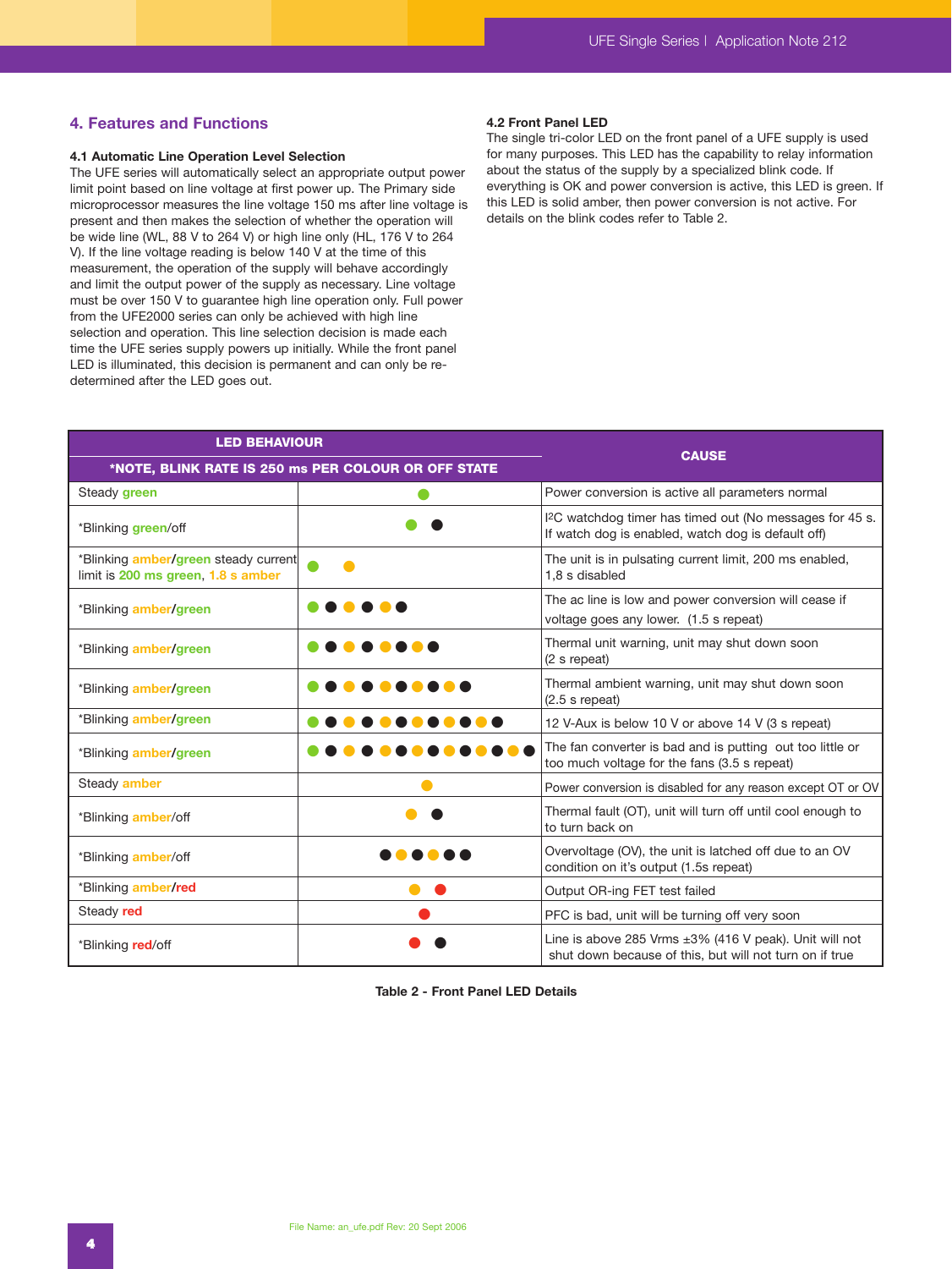# **4. Features and Functions**

#### **4.1 Automatic Line Operation Level Selection**

The UFE series will automatically select an appropriate output power limit point based on line voltage at first power up. The Primary side microprocessor measures the line voltage 150 ms after line voltage is present and then makes the selection of whether the operation will be wide line (WL, 88 V to 264 V) or high line only (HL, 176 V to 264 V). If the line voltage reading is below 140 V at the time of this measurement, the operation of the supply will behave accordingly and limit the output power of the supply as necessary. Line voltage must be over 150 V to guarantee high line operation only. Full power from the UFE2000 series can only be achieved with high line selection and operation. This line selection decision is made each time the UFE series supply powers up initially. While the front panel LED is illuminated, this decision is permanent and can only be redetermined after the LED goes out.

#### **4.2 Front Panel LED**

The single tri-color LED on the front panel of a UFE supply is used for many purposes. This LED has the capability to relay information about the status of the supply by a specialized blink code. If everything is OK and power conversion is active, this LED is green. If this LED is solid amber, then power conversion is not active. For details on the blink codes refer to Table 2.

| <b>LED BEHAVIOUR</b>                                                              |                                                     | <b>CAUSE</b>                                                                                                               |  |  |
|-----------------------------------------------------------------------------------|-----------------------------------------------------|----------------------------------------------------------------------------------------------------------------------------|--|--|
|                                                                                   | *NOTE, BLINK RATE IS 250 ms PER COLOUR OR OFF STATE |                                                                                                                            |  |  |
| Steady green                                                                      |                                                     | Power conversion is active all parameters normal                                                                           |  |  |
| *Blinking green/off                                                               |                                                     | I <sup>2</sup> C watchdog timer has timed out (No messages for 45 s.<br>If watch dog is enabled, watch dog is default off) |  |  |
| *Blinking <b>amber/green</b> steady current<br>limit is 200 ms green, 1.8 s amber |                                                     | The unit is in pulsating current limit, 200 ms enabled,<br>1,8 s disabled                                                  |  |  |
| *Blinking amber/green                                                             |                                                     | The ac line is low and power conversion will cease if<br>voltage goes any lower. (1.5 s repeat)                            |  |  |
| *Blinking amber/green                                                             |                                                     | Thermal unit warning, unit may shut down soon<br>(2 s repeat)                                                              |  |  |
| *Blinking amber/green                                                             |                                                     | Thermal ambient warning, unit may shut down soon<br>$(2.5 s$ repeat)                                                       |  |  |
| *Blinking amber/green                                                             |                                                     | 12 V-Aux is below 10 V or above 14 V (3 s repeat)                                                                          |  |  |
| *Blinking amber/green                                                             |                                                     | The fan converter is bad and is putting out too little or<br>too much voltage for the fans (3.5 s repeat)                  |  |  |
| Steady amber                                                                      |                                                     | Power conversion is disabled for any reason except OT or OV                                                                |  |  |
| *Blinking amber/off                                                               |                                                     | Thermal fault (OT), unit will turn off until cool enough to<br>to turn back on                                             |  |  |
| *Blinking amber/off                                                               |                                                     | Overvoltage (OV), the unit is latched off due to an OV<br>condition on it's output (1.5s repeat)                           |  |  |
| *Blinking amber/red                                                               |                                                     | Output OR-ing FET test failed                                                                                              |  |  |
| Steady red                                                                        |                                                     | PFC is bad, unit will be turning off very soon                                                                             |  |  |
| *Blinking red/off                                                                 |                                                     | Line is above 285 Vrms $\pm 3\%$ (416 V peak). Unit will not<br>shut down because of this, but will not turn on if true    |  |  |

**Table 2 - Front Panel LED Details**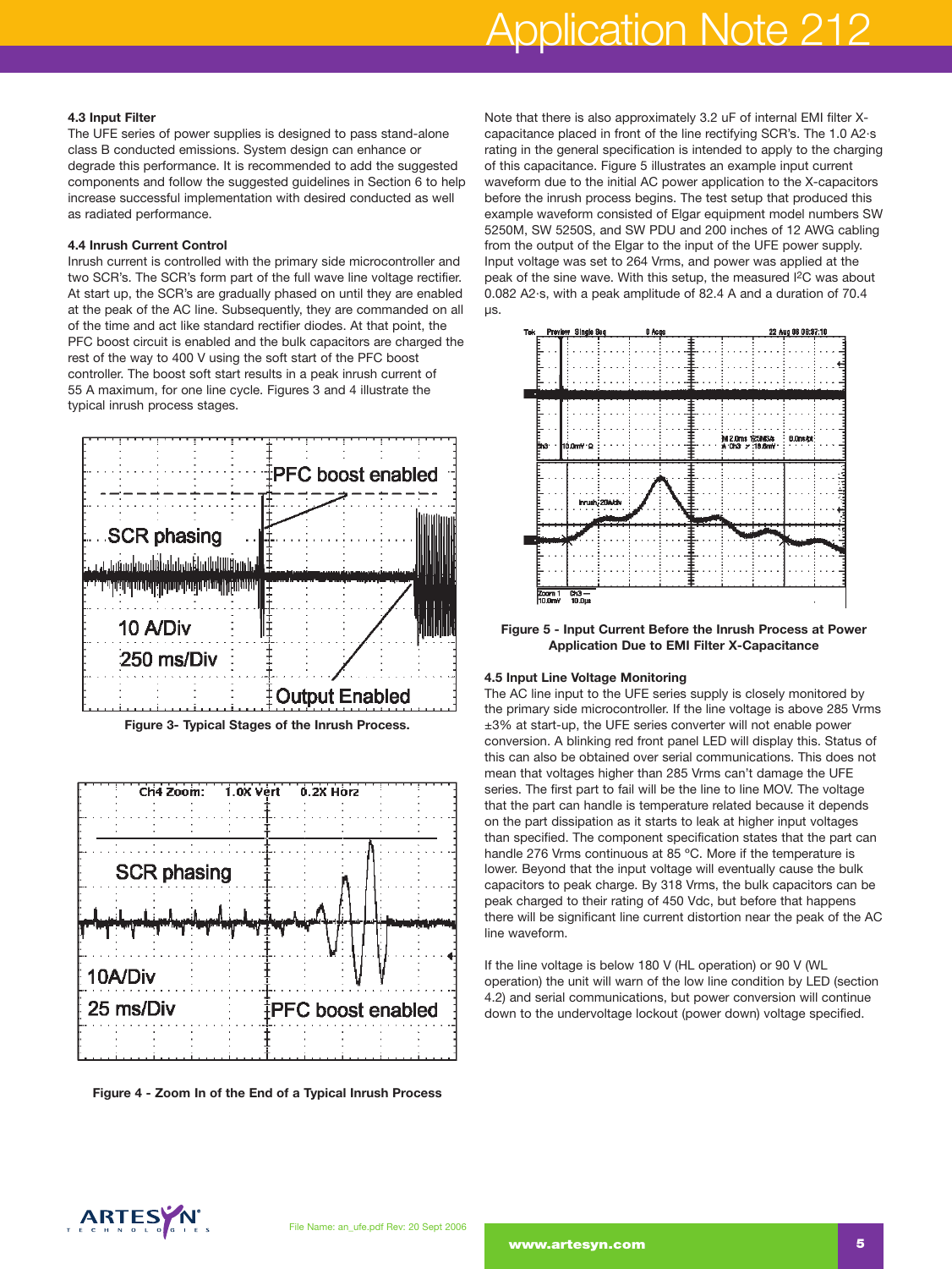# Application Note 212

#### **4.3 Input Filter**

The UFE series of power supplies is designed to pass stand-alone class B conducted emissions. System design can enhance or degrade this performance. It is recommended to add the suggested components and follow the suggested guidelines in Section 6 to help increase successful implementation with desired conducted as well as radiated performance.

#### **4.4 Inrush Current Control**

Inrush current is controlled with the primary side microcontroller and two SCR's. The SCR's form part of the full wave line voltage rectifier. At start up, the SCR's are gradually phased on until they are enabled at the peak of the AC line. Subsequently, they are commanded on all of the time and act like standard rectifier diodes. At that point, the PFC boost circuit is enabled and the bulk capacitors are charged the rest of the way to 400 V using the soft start of the PFC boost controller. The boost soft start results in a peak inrush current of 55 A maximum, for one line cycle. Figures 3 and 4 illustrate the typical inrush process stages.



**Figure 3- Typical Stages of the Inrush Process.**



**Figure 4 - Zoom In of the End of a Typical Inrush Process**

Note that there is also approximately 3.2 uF of internal EMI filter Xcapacitance placed in front of the line rectifying SCR's. The 1.0 A2·s rating in the general specification is intended to apply to the charging of this capacitance. Figure 5 illustrates an example input current waveform due to the initial AC power application to the X-capacitors before the inrush process begins. The test setup that produced this example waveform consisted of Elgar equipment model numbers SW 5250M, SW 5250S, and SW PDU and 200 inches of 12 AWG cabling from the output of the Elgar to the input of the UFE power supply. Input voltage was set to 264 Vrms, and power was applied at the peak of the sine wave. With this setup, the measured I2C was about 0.082 A2·s, with a peak amplitude of 82.4 A and a duration of 70.4 µs.



**Figure 5 - Input Current Before the Inrush Process at Power Application Due to EMI Filter X-Capacitance**

#### **4.5 Input Line Voltage Monitoring**

The AC line input to the UFE series supply is closely monitored by the primary side microcontroller. If the line voltage is above 285 Vrms ±3% at start-up, the UFE series converter will not enable power conversion. A blinking red front panel LED will display this. Status of this can also be obtained over serial communications. This does not mean that voltages higher than 285 Vrms can't damage the UFE series. The first part to fail will be the line to line MOV. The voltage that the part can handle is temperature related because it depends on the part dissipation as it starts to leak at higher input voltages than specified. The component specification states that the part can handle 276 Vrms continuous at 85 ºC. More if the temperature is lower. Beyond that the input voltage will eventually cause the bulk capacitors to peak charge. By 318 Vrms, the bulk capacitors can be peak charged to their rating of 450 Vdc, but before that happens there will be significant line current distortion near the peak of the AC line waveform.

If the line voltage is below 180 V (HL operation) or 90 V (WL operation) the unit will warn of the low line condition by LED (section 4.2) and serial communications, but power conversion will continue down to the undervoltage lockout (power down) voltage specified.

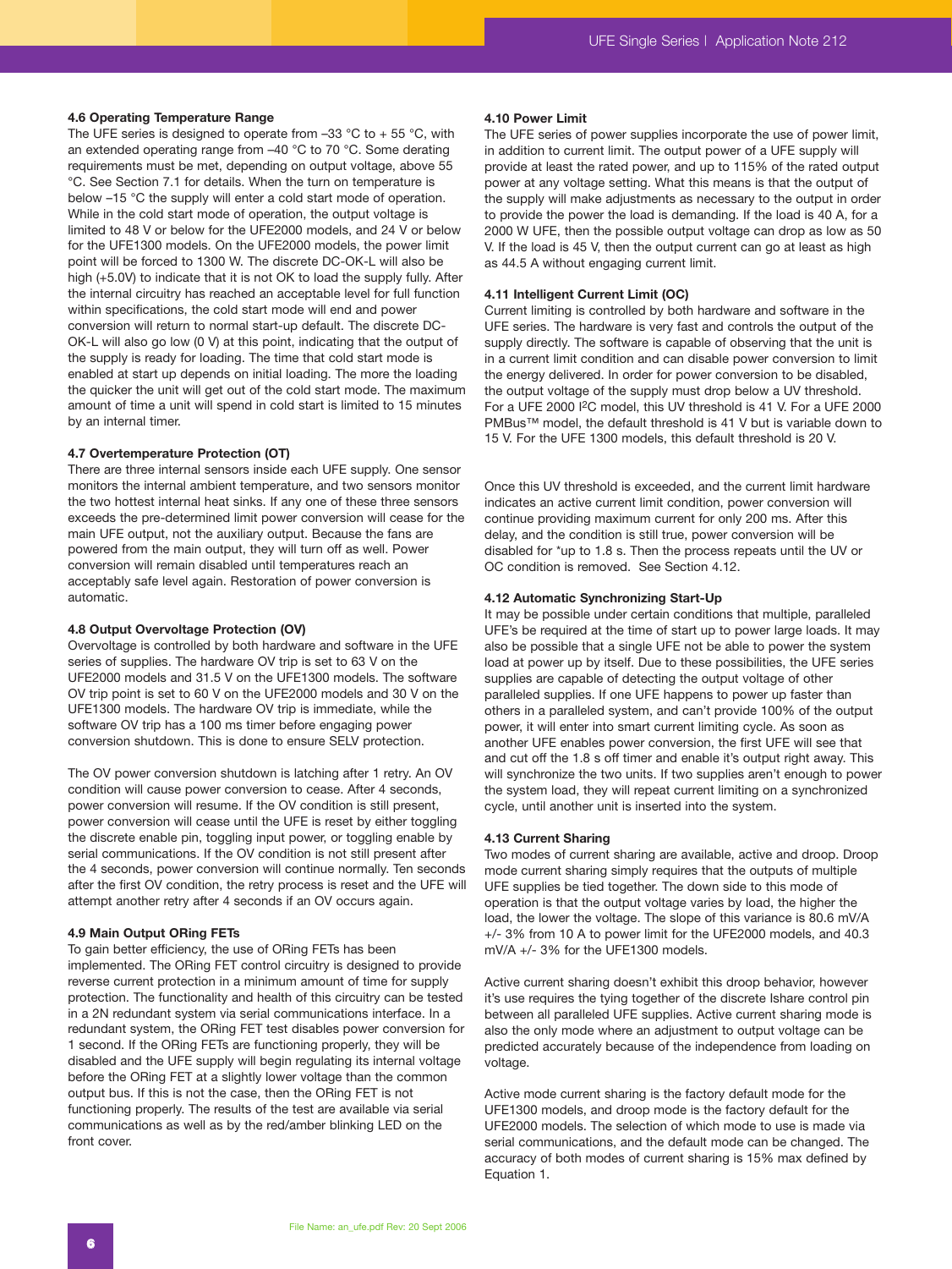#### **4.6 Operating Temperature Range**

The UFE series is designed to operate from  $-33$  °C to  $+55$  °C, with an extended operating range from –40 °C to 70 °C. Some derating requirements must be met, depending on output voltage, above 55 °C. See Section 7.1 for details. When the turn on temperature is below –15 °C the supply will enter a cold start mode of operation. While in the cold start mode of operation, the output voltage is limited to 48 V or below for the UFE2000 models, and 24 V or below for the UFE1300 models. On the UFE2000 models, the power limit point will be forced to 1300 W. The discrete DC-OK-L will also be high (+5.0V) to indicate that it is not OK to load the supply fully. After the internal circuitry has reached an acceptable level for full function within specifications, the cold start mode will end and power conversion will return to normal start-up default. The discrete DC-OK-L will also go low (0 V) at this point, indicating that the output of the supply is ready for loading. The time that cold start mode is enabled at start up depends on initial loading. The more the loading the quicker the unit will get out of the cold start mode. The maximum amount of time a unit will spend in cold start is limited to 15 minutes by an internal timer.

#### **4.7 Overtemperature Protection (OT)**

There are three internal sensors inside each UFE supply. One sensor monitors the internal ambient temperature, and two sensors monitor the two hottest internal heat sinks. If any one of these three sensors exceeds the pre-determined limit power conversion will cease for the main UFE output, not the auxiliary output. Because the fans are powered from the main output, they will turn off as well. Power conversion will remain disabled until temperatures reach an acceptably safe level again. Restoration of power conversion is automatic.

#### **4.8 Output Overvoltage Protection (OV)**

Overvoltage is controlled by both hardware and software in the UFE series of supplies. The hardware OV trip is set to 63 V on the UFE2000 models and 31.5 V on the UFE1300 models. The software OV trip point is set to 60 V on the UFE2000 models and 30 V on the UFE1300 models. The hardware OV trip is immediate, while the software OV trip has a 100 ms timer before engaging power conversion shutdown. This is done to ensure SELV protection.

The OV power conversion shutdown is latching after 1 retry. An OV condition will cause power conversion to cease. After 4 seconds, power conversion will resume. If the OV condition is still present, power conversion will cease until the UFE is reset by either toggling the discrete enable pin, toggling input power, or toggling enable by serial communications. If the OV condition is not still present after the 4 seconds, power conversion will continue normally. Ten seconds after the first OV condition, the retry process is reset and the UFE will attempt another retry after 4 seconds if an OV occurs again.

#### **4.9 Main Output ORing FETs**

To gain better efficiency, the use of ORing FETs has been implemented. The ORing FET control circuitry is designed to provide reverse current protection in a minimum amount of time for supply protection. The functionality and health of this circuitry can be tested in a 2N redundant system via serial communications interface. In a redundant system, the ORing FET test disables power conversion for 1 second. If the ORing FETs are functioning properly, they will be disabled and the UFE supply will begin regulating its internal voltage before the ORing FET at a slightly lower voltage than the common output bus. If this is not the case, then the ORing FET is not functioning properly. The results of the test are available via serial communications as well as by the red/amber blinking LED on the front cover.

#### **4.10 Power Limit**

The UFE series of power supplies incorporate the use of power limit, in addition to current limit. The output power of a UFE supply will provide at least the rated power, and up to 115% of the rated output power at any voltage setting. What this means is that the output of the supply will make adjustments as necessary to the output in order to provide the power the load is demanding. If the load is 40 A, for a 2000 W UFE, then the possible output voltage can drop as low as 50 V. If the load is 45 V, then the output current can go at least as high as 44.5 A without engaging current limit.

#### **4.11 Intelligent Current Limit (OC)**

Current limiting is controlled by both hardware and software in the UFE series. The hardware is very fast and controls the output of the supply directly. The software is capable of observing that the unit is in a current limit condition and can disable power conversion to limit the energy delivered. In order for power conversion to be disabled, the output voltage of the supply must drop below a UV threshold. For a UFE 2000 I2C model, this UV threshold is 41 V. For a UFE 2000 PMBus™ model, the default threshold is 41 V but is variable down to 15 V. For the UFE 1300 models, this default threshold is 20 V.

Once this UV threshold is exceeded, and the current limit hardware indicates an active current limit condition, power conversion will continue providing maximum current for only 200 ms. After this delay, and the condition is still true, power conversion will be disabled for \*up to 1.8 s. Then the process repeats until the UV or OC condition is removed. See Section 4.12.

#### **4.12 Automatic Synchronizing Start-Up**

It may be possible under certain conditions that multiple, paralleled UFE's be required at the time of start up to power large loads. It may also be possible that a single UFE not be able to power the system load at power up by itself. Due to these possibilities, the UFE series supplies are capable of detecting the output voltage of other paralleled supplies. If one UFE happens to power up faster than others in a paralleled system, and can't provide 100% of the output power, it will enter into smart current limiting cycle. As soon as another UFE enables power conversion, the first UFE will see that and cut off the 1.8 s off timer and enable it's output right away. This will synchronize the two units. If two supplies aren't enough to power the system load, they will repeat current limiting on a synchronized cycle, until another unit is inserted into the system.

#### **4.13 Current Sharing**

Two modes of current sharing are available, active and droop. Droop mode current sharing simply requires that the outputs of multiple UFE supplies be tied together. The down side to this mode of operation is that the output voltage varies by load, the higher the load, the lower the voltage. The slope of this variance is 80.6 mV/A +/- 3% from 10 A to power limit for the UFE2000 models, and 40.3 mV/A +/- 3% for the UFE1300 models.

Active current sharing doesn't exhibit this droop behavior, however it's use requires the tying together of the discrete Ishare control pin between all paralleled UFE supplies. Active current sharing mode is also the only mode where an adjustment to output voltage can be predicted accurately because of the independence from loading on voltage.

Active mode current sharing is the factory default mode for the UFE1300 models, and droop mode is the factory default for the UFE2000 models. The selection of which mode to use is made via serial communications, and the default mode can be changed. The accuracy of both modes of current sharing is 15% max defined by Equation 1.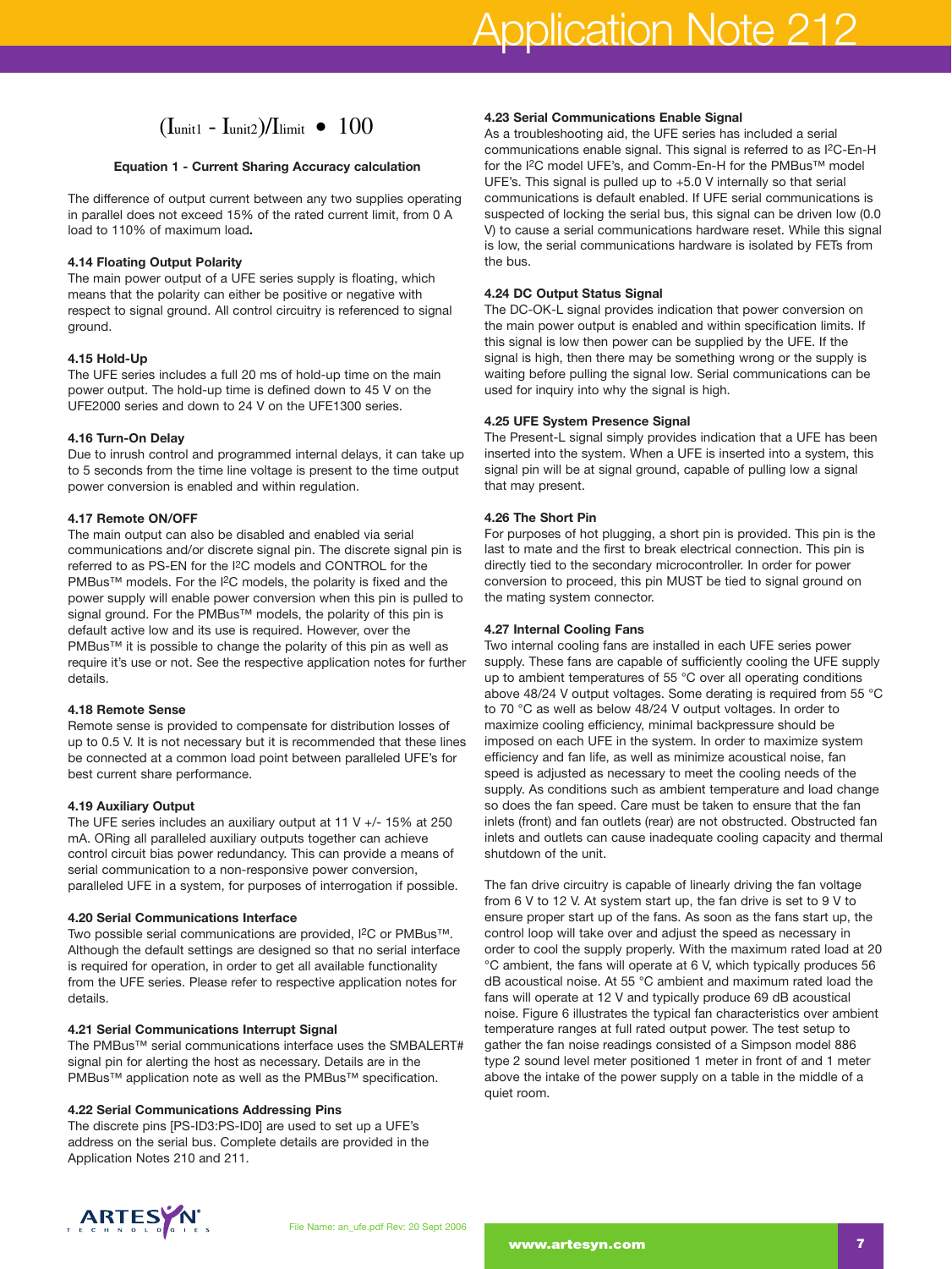# $(I_{\rm unit1} - I_{\rm unit2})/I_{\rm limit}$  •  $100$ <br>n 1 - Current Sharing Accuracy cal

#### **Equation 1 - Current Sharing Accuracy calculation**

The difference of output current between any two supplies operating in parallel does not exceed 15% of the rated current limit, from 0 A load to 110% of maximum load**.**

#### **4.14 Floating Output Polarity**

The main power output of a UFE series supply is floating, which means that the polarity can either be positive or negative with respect to signal ground. All control circuitry is referenced to signal ground.

#### **4.15 Hold-Up**

The UFE series includes a full 20 ms of hold-up time on the main power output. The hold-up time is defined down to 45 V on the UFE2000 series and down to 24 V on the UFE1300 series.

#### **4.16 Turn-On Delay**

Due to inrush control and programmed internal delays, it can take up to 5 seconds from the time line voltage is present to the time output power conversion is enabled and within regulation.

#### **4.17 Remote ON/OFF**

The main output can also be disabled and enabled via serial communications and/or discrete signal pin. The discrete signal pin is referred to as PS-EN for the I2C models and CONTROL for the PMBus™ models. For the I<sup>2</sup>C models, the polarity is fixed and the power supply will enable power conversion when this pin is pulled to signal ground. For the PMBus™ models, the polarity of this pin is default active low and its use is required. However, over the PMBus™ it is possible to change the polarity of this pin as well as require it's use or not. See the respective application notes for further details.

#### **4.18 Remote Sense**

Remote sense is provided to compensate for distribution losses of up to 0.5 V. It is not necessary but it is recommended that these lines be connected at a common load point between paralleled UFE's for best current share performance.

#### **4.19 Auxiliary Output**

The UFE series includes an auxiliary output at 11 V +/- 15% at 250 mA. ORing all paralleled auxiliary outputs together can achieve control circuit bias power redundancy. This can provide a means of serial communication to a non-responsive power conversion, paralleled UFE in a system, for purposes of interrogation if possible.

#### **4.20 Serial Communications Interface**

Two possible serial communications are provided, I2C or PMBus™. Although the default settings are designed so that no serial interface is required for operation, in order to get all available functionality from the UFE series. Please refer to respective application notes for details.

#### **4.21 Serial Communications Interrupt Signal**

The PMBus™ serial communications interface uses the SMBALERT# signal pin for alerting the host as necessary. Details are in the PMBus™ application note as well as the PMBus™ specification.

#### **4.22 Serial Communications Addressing Pins**

The discrete pins [PS-ID3:PS-ID0] are used to set up a UFE's address on the serial bus. Complete details are provided in the Application Notes 210 and 211.

#### **4.23 Serial Communications Enable Signal**

As a troubleshooting aid, the UFE series has included a serial communications enable signal. This signal is referred to as I2C-En-H for the I<sup>2</sup>C model UFE's, and Comm-En-H for the PMBus™ model UFE's. This signal is pulled up to +5.0 V internally so that serial communications is default enabled. If UFE serial communications is suspected of locking the serial bus, this signal can be driven low (0.0 V) to cause a serial communications hardware reset. While this signal is low, the serial communications hardware is isolated by FETs from the bus.

#### **4.24 DC Output Status Signal**

The DC-OK-L signal provides indication that power conversion on the main power output is enabled and within specification limits. If this signal is low then power can be supplied by the UFE. If the signal is high, then there may be something wrong or the supply is waiting before pulling the signal low. Serial communications can be used for inquiry into why the signal is high.

#### **4.25 UFE System Presence Signal**

The Present-L signal simply provides indication that a UFE has been inserted into the system. When a UFE is inserted into a system, this signal pin will be at signal ground, capable of pulling low a signal that may present.

#### **4.26 The Short Pin**

For purposes of hot plugging, a short pin is provided. This pin is the last to mate and the first to break electrical connection. This pin is directly tied to the secondary microcontroller. In order for power conversion to proceed, this pin MUST be tied to signal ground on the mating system connector.

#### **4.27 Internal Cooling Fans**

Two internal cooling fans are installed in each UFE series power supply. These fans are capable of sufficiently cooling the UFE supply up to ambient temperatures of 55 °C over all operating conditions above 48/24 V output voltages. Some derating is required from 55 °C to 70 °C as well as below 48/24 V output voltages. In order to maximize cooling efficiency, minimal backpressure should be imposed on each UFE in the system. In order to maximize system efficiency and fan life, as well as minimize acoustical noise, fan speed is adjusted as necessary to meet the cooling needs of the supply. As conditions such as ambient temperature and load change so does the fan speed. Care must be taken to ensure that the fan inlets (front) and fan outlets (rear) are not obstructed. Obstructed fan inlets and outlets can cause inadequate cooling capacity and thermal shutdown of the unit.

The fan drive circuitry is capable of linearly driving the fan voltage from 6 V to 12 V. At system start up, the fan drive is set to 9 V to ensure proper start up of the fans. As soon as the fans start up, the control loop will take over and adjust the speed as necessary in order to cool the supply properly. With the maximum rated load at 20 °C ambient, the fans will operate at 6 V, which typically produces 56 dB acoustical noise. At 55 °C ambient and maximum rated load the fans will operate at 12 V and typically produce 69 dB acoustical noise. Figure 6 illustrates the typical fan characteristics over ambient temperature ranges at full rated output power. The test setup to gather the fan noise readings consisted of a Simpson model 886 type 2 sound level meter positioned 1 meter in front of and 1 meter above the intake of the power supply on a table in the middle of a quiet room.

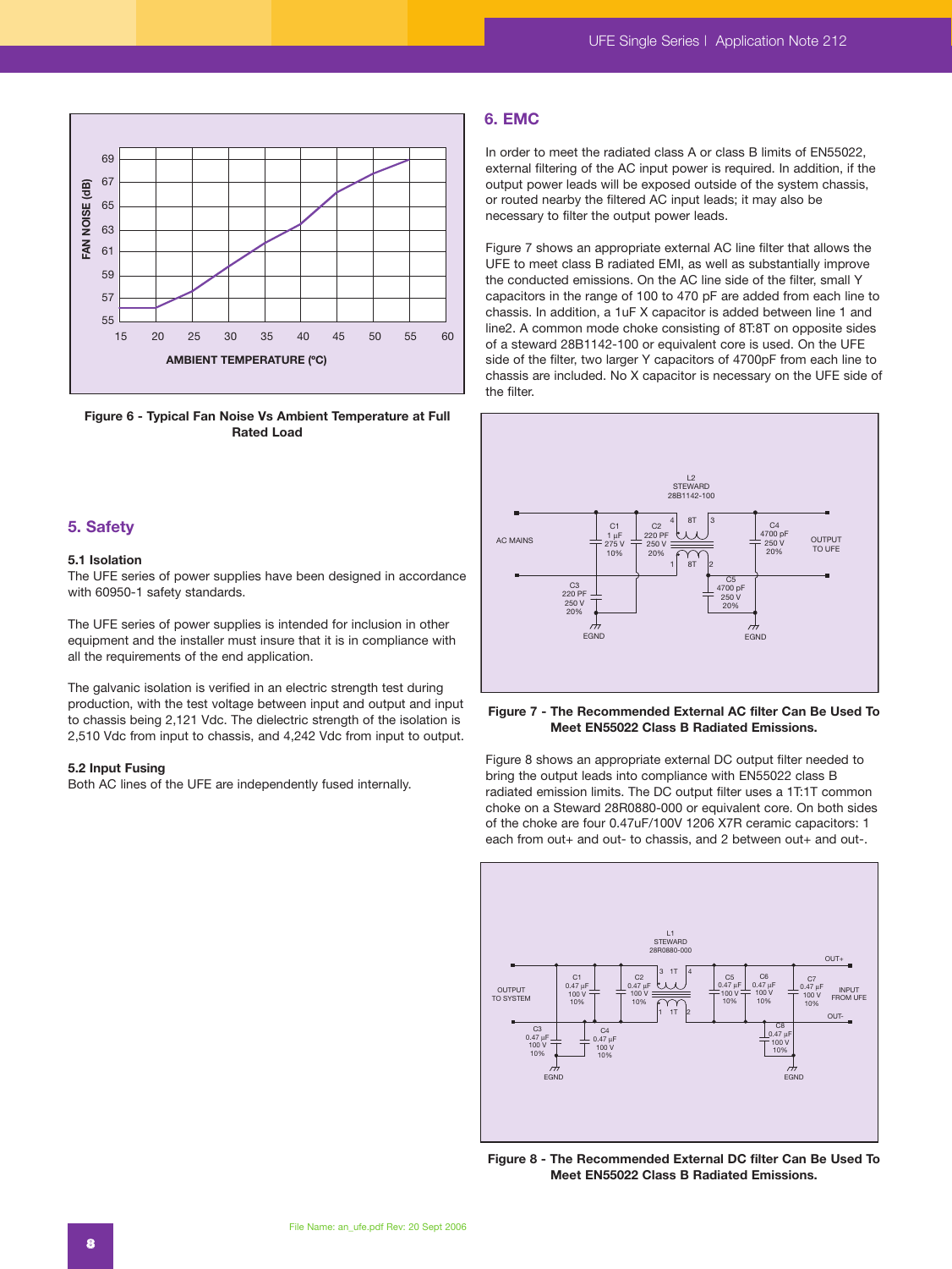

**Figure 6 - Typical Fan Noise Vs Ambient Temperature at Full Rated Load**

# **5. Safety**

## **5.1 Isolation**

The UFE series of power supplies have been designed in accordance with 60950-1 safety standards.

The UFE series of power supplies is intended for inclusion in other equipment and the installer must insure that it is in compliance with all the requirements of the end application.

The galvanic isolation is verified in an electric strength test during production, with the test voltage between input and output and input to chassis being 2,121 Vdc. The dielectric strength of the isolation is 2,510 Vdc from input to chassis, and 4,242 Vdc from input to output.

#### **5.2 Input Fusing**

Both AC lines of the UFE are independently fused internally.

### **6. EMC**

In order to meet the radiated class A or class B limits of EN55022, external filtering of the AC input power is required. In addition, if the output power leads will be exposed outside of the system chassis, or routed nearby the filtered AC input leads; it may also be necessary to filter the output power leads.

Figure 7 shows an appropriate external AC line filter that allows the UFE to meet class B radiated EMI, as well as substantially improve the conducted emissions. On the AC line side of the filter, small Y capacitors in the range of 100 to 470 pF are added from each line to chassis. In addition, a 1uF X capacitor is added between line 1 and line2. A common mode choke consisting of 8T:8T on opposite sides of a steward 28B1142-100 or equivalent core is used. On the UFE side of the filter, two larger Y capacitors of 4700pF from each line to chassis are included. No X capacitor is necessary on the UFE side of the filter.



#### **Figure 7 - The Recommended External AC filter Can Be Used To Meet EN55022 Class B Radiated Emissions.**

Figure 8 shows an appropriate external DC output filter needed to bring the output leads into compliance with EN55022 class B radiated emission limits. The DC output filter uses a 1T:1T common choke on a Steward 28R0880-000 or equivalent core. On both sides of the choke are four 0.47uF/100V 1206 X7R ceramic capacitors: 1 each from out+ and out- to chassis, and 2 between out+ and out-.



**Figure 8 - The Recommended External DC filter Can Be Used To Meet EN55022 Class B Radiated Emissions.**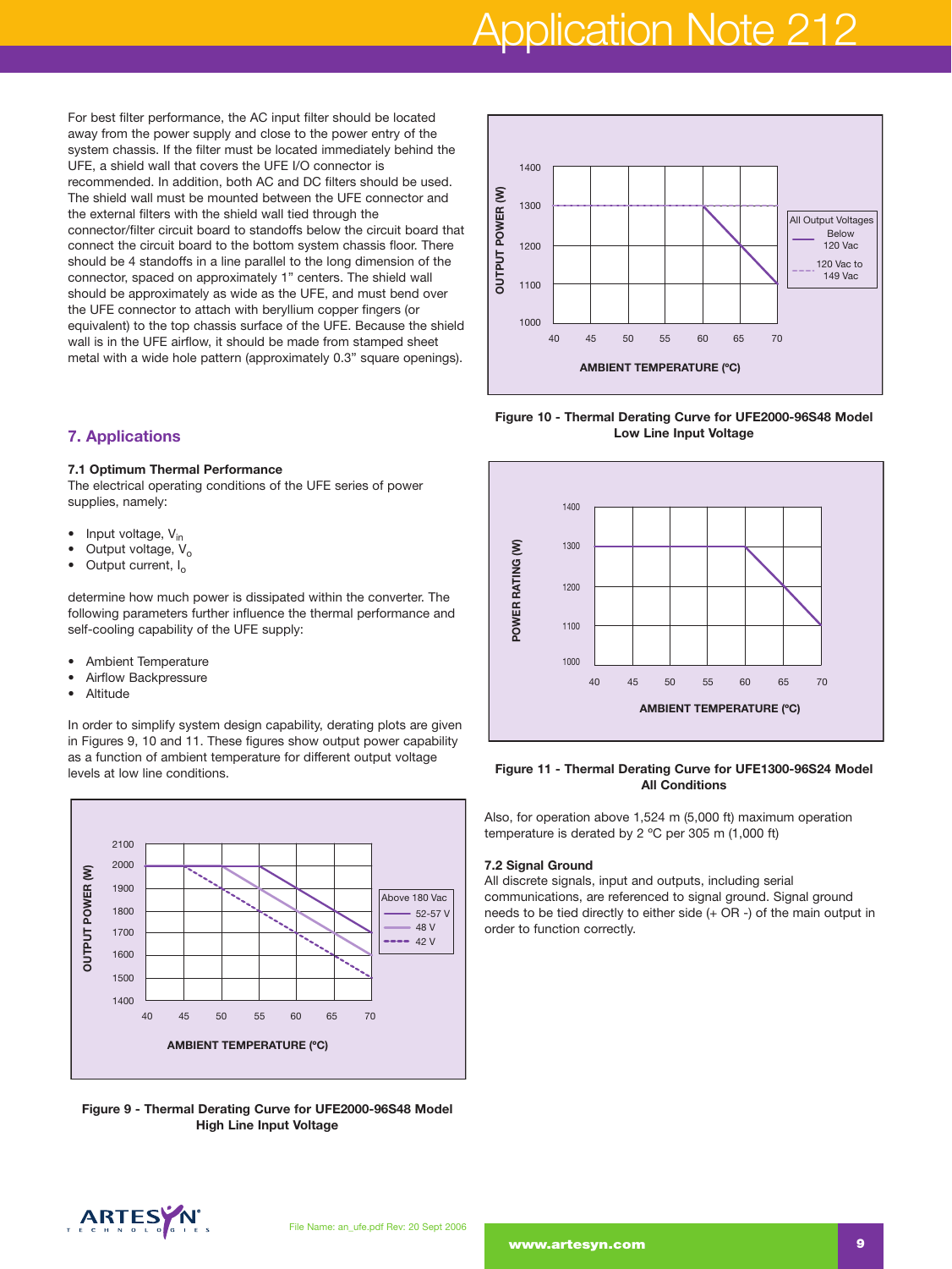# Application Note 212

For best filter performance, the AC input filter should be located away from the power supply and close to the power entry of the system chassis. If the filter must be located immediately behind the UFE, a shield wall that covers the UFE I/O connector is recommended. In addition, both AC and DC filters should be used. The shield wall must be mounted between the UFE connector and the external filters with the shield wall tied through the connector/filter circuit board to standoffs below the circuit board that connect the circuit board to the bottom system chassis floor. There should be 4 standoffs in a line parallel to the long dimension of the connector, spaced on approximately 1" centers. The shield wall should be approximately as wide as the UFE, and must bend over the UFE connector to attach with beryllium copper fingers (or equivalent) to the top chassis surface of the UFE. Because the shield wall is in the UFE airflow, it should be made from stamped sheet metal with a wide hole pattern (approximately 0.3" square openings).

# **7. Applications**

#### **7.1 Optimum Thermal Performance**

The electrical operating conditions of the UFE series of power supplies, namely:

- Input voltage,  $V_{in}$
- Output voltage,  $V_o$ <br>• Output current, L.
- Output current, I<sub>o</sub>

determine how much power is dissipated within the converter. The following parameters further influence the thermal performance and self-cooling capability of the UFE supply:

- Ambient Temperature
- Airflow Backpressure
- Altitude

In order to simplify system design capability, derating plots are given in Figures 9, 10 and 11. These figures show output power capability as a function of ambient temperature for different output voltage levels at low line conditions.



**Figure 9 - Thermal Derating Curve for UFE2000-96S48 Model High Line Input Voltage**



**Figure 10 - Thermal Derating Curve for UFE2000-96S48 Model Low Line Input Voltage**



#### **Figure 11 - Thermal Derating Curve for UFE1300-96S24 Model All Conditions**

Also, for operation above 1,524 m (5,000 ft) maximum operation temperature is derated by 2 ºC per 305 m (1,000 ft)

#### **7.2 Signal Ground**

All discrete signals, input and outputs, including serial communications, are referenced to signal ground. Signal ground needs to be tied directly to either side (+ OR -) of the main output in order to function correctly.